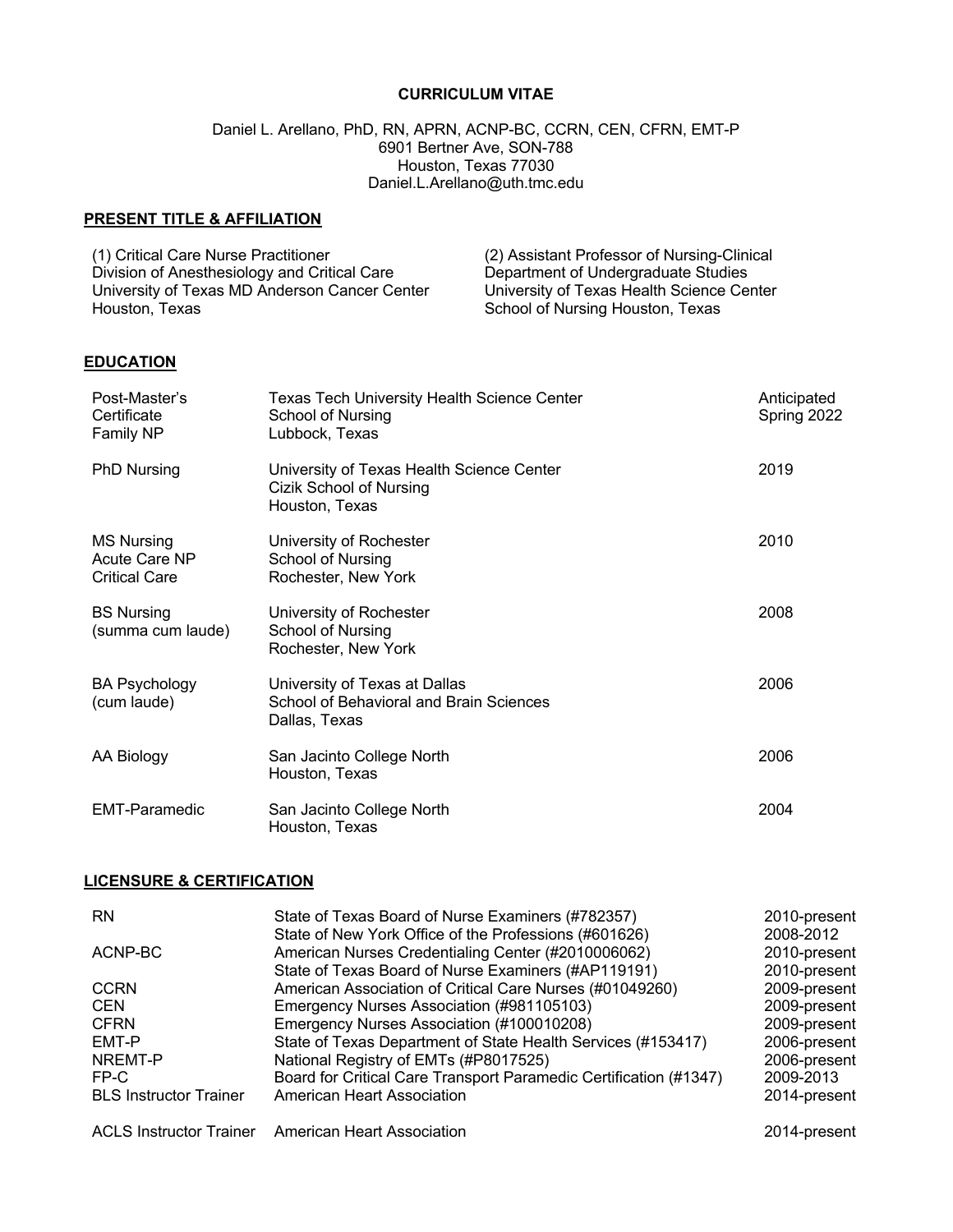## **CURRICULUM VITAE**

#### Daniel L. Arellano, PhD, RN, APRN, ACNP-BC, CCRN, CEN, CFRN, EMT-P 6901 Bertner Ave, SON-788 Houston, Texas 77030 Daniel.L.Arellano@uth.tmc.edu

# **PRESENT TITLE & AFFILIATION**

| (1) Critical Care Nurse Practitioner          | (2) Assistant Professor of Nursing-Clinical |
|-----------------------------------------------|---------------------------------------------|
| Division of Anesthesiology and Critical Care  | Department of Undergraduate Studies         |
| University of Texas MD Anderson Cancer Center | University of Texas Health Science Center   |
| Houston, Texas                                | School of Nursing Houston, Texas            |

# **EDUCATION**

| Post-Master's<br>Certificate<br>Family NP                  | <b>Texas Tech University Health Science Center</b><br>School of Nursing<br>Lubbock, Texas | Anticipated<br>Spring 2022 |
|------------------------------------------------------------|-------------------------------------------------------------------------------------------|----------------------------|
| <b>PhD Nursing</b>                                         | University of Texas Health Science Center<br>Cizik School of Nursing<br>Houston, Texas    | 2019                       |
| <b>MS Nursing</b><br>Acute Care NP<br><b>Critical Care</b> | University of Rochester<br>School of Nursing<br>Rochester, New York                       | 2010                       |
| <b>BS Nursing</b><br>(summa cum laude)                     | University of Rochester<br>School of Nursing<br>Rochester, New York                       | 2008                       |
| <b>BA Psychology</b><br>(cum laude)                        | University of Texas at Dallas<br>School of Behavioral and Brain Sciences<br>Dallas, Texas | 2006                       |
| AA Biology                                                 | San Jacinto College North<br>Houston, Texas                                               | 2006                       |
| <b>EMT-Paramedic</b>                                       | San Jacinto College North<br>Houston, Texas                                               | 2004                       |

#### **LICENSURE & CERTIFICATION**

| <b>RN</b>                     | State of Texas Board of Nurse Examiners (#782357)                 | 2010-present |
|-------------------------------|-------------------------------------------------------------------|--------------|
|                               | State of New York Office of the Professions (#601626)             | 2008-2012    |
| ACNP-BC                       | American Nurses Credentialing Center (#2010006062)                | 2010-present |
|                               | State of Texas Board of Nurse Examiners (#AP119191)               | 2010-present |
| <b>CCRN</b>                   | American Association of Critical Care Nurses (#01049260)          | 2009-present |
| <b>CEN</b>                    | Emergency Nurses Association (#981105103)                         | 2009-present |
| <b>CFRN</b>                   | Emergency Nurses Association (#100010208)                         | 2009-present |
| EMT-P                         | State of Texas Department of State Health Services (#153417)      | 2006-present |
| NREMT-P                       | National Registry of EMTs (#P8017525)                             | 2006-present |
| FP-C                          | Board for Critical Care Transport Paramedic Certification (#1347) | 2009-2013    |
| <b>BLS Instructor Trainer</b> | American Heart Association                                        | 2014-present |
|                               | ACLS Instructor Trainer American Heart Association                | 2014-present |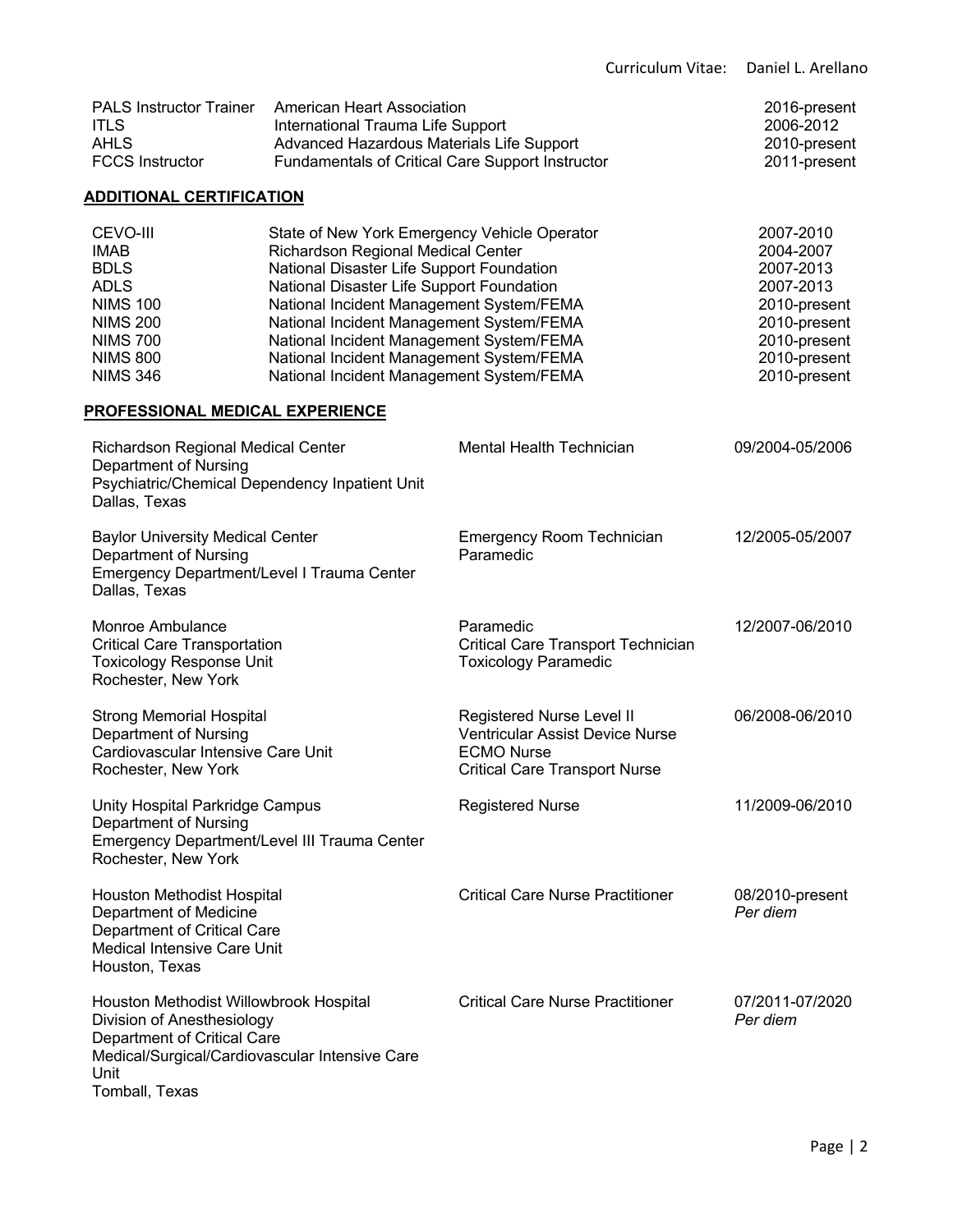|                                                                                                                                                                                 |                                                                                                                                                                                                                                                                                                                                                                                                          |                                                                                                                                  | Curriculum Vitae: | Daniel L. Arellano                                                                                                               |
|---------------------------------------------------------------------------------------------------------------------------------------------------------------------------------|----------------------------------------------------------------------------------------------------------------------------------------------------------------------------------------------------------------------------------------------------------------------------------------------------------------------------------------------------------------------------------------------------------|----------------------------------------------------------------------------------------------------------------------------------|-------------------|----------------------------------------------------------------------------------------------------------------------------------|
| <b>PALS Instructor Trainer</b><br><b>ITLS</b><br><b>AHLS</b><br><b>FCCS Instructor</b>                                                                                          | <b>American Heart Association</b><br>International Trauma Life Support<br>Advanced Hazardous Materials Life Support<br>Fundamentals of Critical Care Support Instructor                                                                                                                                                                                                                                  |                                                                                                                                  |                   | 2016-present<br>2006-2012<br>2010-present<br>2011-present                                                                        |
| <b>ADDITIONAL CERTIFICATION</b>                                                                                                                                                 |                                                                                                                                                                                                                                                                                                                                                                                                          |                                                                                                                                  |                   |                                                                                                                                  |
| CEVO-III<br><b>IMAB</b><br><b>BDLS</b><br><b>ADLS</b><br><b>NIMS 100</b><br><b>NIMS 200</b><br><b>NIMS 700</b><br><b>NIMS 800</b><br><b>NIMS 346</b>                            | State of New York Emergency Vehicle Operator<br>Richardson Regional Medical Center<br>National Disaster Life Support Foundation<br>National Disaster Life Support Foundation<br>National Incident Management System/FEMA<br>National Incident Management System/FEMA<br>National Incident Management System/FEMA<br>National Incident Management System/FEMA<br>National Incident Management System/FEMA |                                                                                                                                  |                   | 2007-2010<br>2004-2007<br>2007-2013<br>2007-2013<br>2010-present<br>2010-present<br>2010-present<br>2010-present<br>2010-present |
| <u>PROFESSIONAL MEDICAL EXPERIENCE</u>                                                                                                                                          |                                                                                                                                                                                                                                                                                                                                                                                                          |                                                                                                                                  |                   |                                                                                                                                  |
| Richardson Regional Medical Center<br>Department of Nursing<br>Psychiatric/Chemical Dependency Inpatient Unit<br>Dallas, Texas                                                  |                                                                                                                                                                                                                                                                                                                                                                                                          | Mental Health Technician                                                                                                         |                   | 09/2004-05/2006                                                                                                                  |
| <b>Baylor University Medical Center</b><br>Department of Nursing<br>Emergency Department/Level I Trauma Center<br>Dallas, Texas                                                 |                                                                                                                                                                                                                                                                                                                                                                                                          | <b>Emergency Room Technician</b><br>Paramedic                                                                                    |                   | 12/2005-05/2007                                                                                                                  |
| Monroe Ambulance<br><b>Critical Care Transportation</b><br><b>Toxicology Response Unit</b><br>Rochester, New York                                                               |                                                                                                                                                                                                                                                                                                                                                                                                          | Paramedic<br><b>Critical Care Transport Technician</b><br><b>Toxicology Paramedic</b>                                            |                   | 12/2007-06/2010                                                                                                                  |
| <b>Strong Memorial Hospital</b><br>Department of Nursing<br>Cardiovascular Intensive Care Unit<br>Rochester, New York                                                           |                                                                                                                                                                                                                                                                                                                                                                                                          | Registered Nurse Level II<br><b>Ventricular Assist Device Nurse</b><br><b>ECMO Nurse</b><br><b>Critical Care Transport Nurse</b> |                   | 06/2008-06/2010                                                                                                                  |
| Unity Hospital Parkridge Campus<br>Department of Nursing<br>Emergency Department/Level III Trauma Center<br>Rochester, New York                                                 |                                                                                                                                                                                                                                                                                                                                                                                                          | <b>Registered Nurse</b>                                                                                                          |                   | 11/2009-06/2010                                                                                                                  |
| Houston Methodist Hospital<br>Department of Medicine<br>Department of Critical Care<br><b>Medical Intensive Care Unit</b><br>Houston, Texas                                     |                                                                                                                                                                                                                                                                                                                                                                                                          | <b>Critical Care Nurse Practitioner</b>                                                                                          |                   | 08/2010-present<br>Per diem                                                                                                      |
| Houston Methodist Willowbrook Hospital<br>Division of Anesthesiology<br>Department of Critical Care<br>Medical/Surgical/Cardiovascular Intensive Care<br>Unit<br>Tomball, Texas |                                                                                                                                                                                                                                                                                                                                                                                                          | <b>Critical Care Nurse Practitioner</b>                                                                                          |                   | 07/2011-07/2020<br>Per diem                                                                                                      |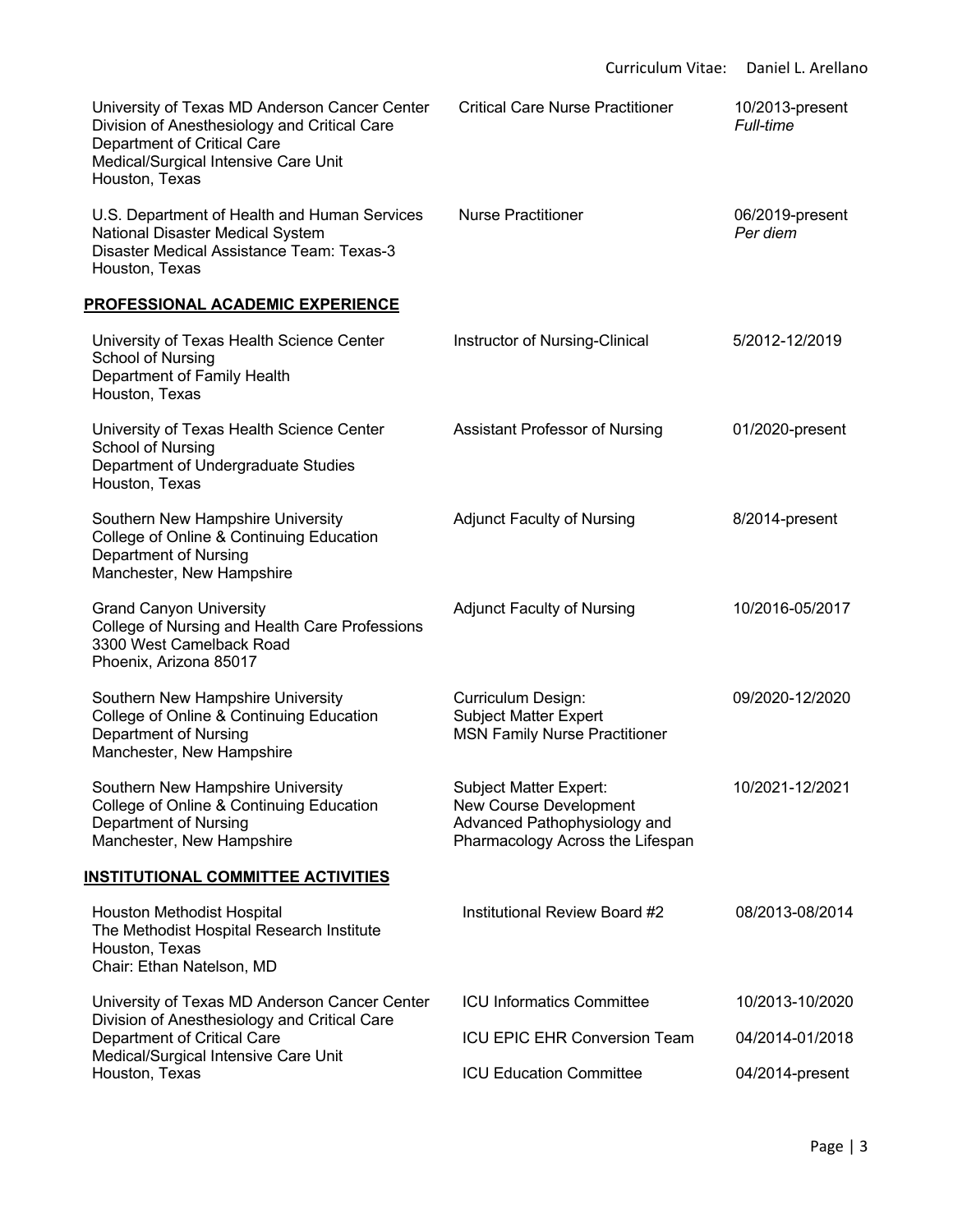| University of Texas MD Anderson Cancer Center<br>Division of Anesthesiology and Critical Care<br>Department of Critical Care<br>Medical/Surgical Intensive Care Unit<br>Houston, Texas | <b>Critical Care Nurse Practitioner</b>                                                                                            | 10/2013-present<br><b>Full-time</b> |
|----------------------------------------------------------------------------------------------------------------------------------------------------------------------------------------|------------------------------------------------------------------------------------------------------------------------------------|-------------------------------------|
| U.S. Department of Health and Human Services<br>National Disaster Medical System<br>Disaster Medical Assistance Team: Texas-3<br>Houston, Texas                                        | <b>Nurse Practitioner</b>                                                                                                          | 06/2019-present<br>Per diem         |
| <u>PROFESSIONAL ACADEMIC EXPERIENCE</u>                                                                                                                                                |                                                                                                                                    |                                     |
| University of Texas Health Science Center<br>School of Nursing<br>Department of Family Health<br>Houston, Texas                                                                        | Instructor of Nursing-Clinical                                                                                                     | 5/2012-12/2019                      |
| University of Texas Health Science Center<br>School of Nursing<br>Department of Undergraduate Studies<br>Houston, Texas                                                                | Assistant Professor of Nursing                                                                                                     | 01/2020-present                     |
| Southern New Hampshire University<br>College of Online & Continuing Education<br>Department of Nursing<br>Manchester, New Hampshire                                                    | <b>Adjunct Faculty of Nursing</b>                                                                                                  | 8/2014-present                      |
| <b>Grand Canyon University</b><br>College of Nursing and Health Care Professions<br>3300 West Camelback Road<br>Phoenix, Arizona 85017                                                 | <b>Adjunct Faculty of Nursing</b>                                                                                                  | 10/2016-05/2017                     |
| Southern New Hampshire University<br>College of Online & Continuing Education<br>Department of Nursing<br>Manchester, New Hampshire                                                    | <b>Curriculum Design:</b><br><b>Subject Matter Expert</b><br><b>MSN Family Nurse Practitioner</b>                                  | 09/2020-12/2020                     |
| Southern New Hampshire University<br>College of Online & Continuing Education<br>Department of Nursing<br>Manchester, New Hampshire                                                    | <b>Subject Matter Expert:</b><br><b>New Course Development</b><br>Advanced Pathophysiology and<br>Pharmacology Across the Lifespan | 10/2021-12/2021                     |
| <u>INSTITUTIONAL COMMITTEE ACTIVITIES</u>                                                                                                                                              |                                                                                                                                    |                                     |
| Houston Methodist Hospital<br>The Methodist Hospital Research Institute<br>Houston, Texas<br>Chair: Ethan Natelson, MD                                                                 | Institutional Review Board #2                                                                                                      | 08/2013-08/2014                     |
| University of Texas MD Anderson Cancer Center                                                                                                                                          | <b>ICU Informatics Committee</b>                                                                                                   | 10/2013-10/2020                     |
| Division of Anesthesiology and Critical Care<br>Department of Critical Care                                                                                                            | <b>ICU EPIC EHR Conversion Team</b>                                                                                                | 04/2014-01/2018                     |
| Medical/Surgical Intensive Care Unit<br>Houston, Texas                                                                                                                                 | <b>ICU Education Committee</b>                                                                                                     | 04/2014-present                     |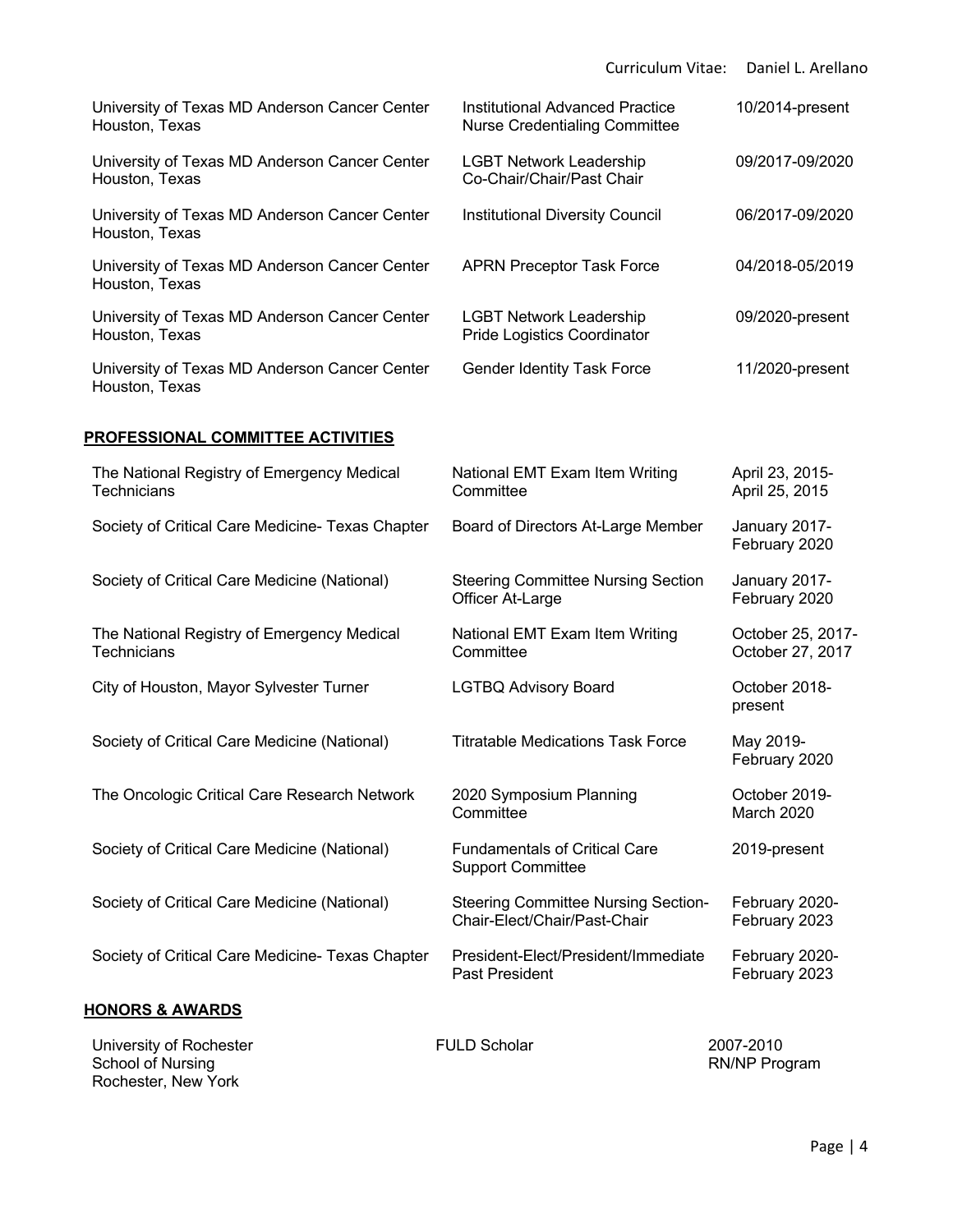|                                                                  | Curriculum Vitae:                                                              | Daniel L. Arellano                    |
|------------------------------------------------------------------|--------------------------------------------------------------------------------|---------------------------------------|
| University of Texas MD Anderson Cancer Center<br>Houston, Texas  | <b>Institutional Advanced Practice</b><br><b>Nurse Credentialing Committee</b> | 10/2014-present                       |
| University of Texas MD Anderson Cancer Center<br>Houston, Texas  | <b>LGBT Network Leadership</b><br>Co-Chair/Chair/Past Chair                    | 09/2017-09/2020                       |
| University of Texas MD Anderson Cancer Center<br>Houston, Texas  | Institutional Diversity Council                                                | 06/2017-09/2020                       |
| University of Texas MD Anderson Cancer Center<br>Houston, Texas  | <b>APRN Preceptor Task Force</b>                                               | 04/2018-05/2019                       |
| University of Texas MD Anderson Cancer Center<br>Houston, Texas  | <b>LGBT Network Leadership</b><br><b>Pride Logistics Coordinator</b>           | 09/2020-present                       |
| University of Texas MD Anderson Cancer Center<br>Houston, Texas  | <b>Gender Identity Task Force</b>                                              | 11/2020-present                       |
| <b>PROFESSIONAL COMMITTEE ACTIVITIES</b>                         |                                                                                |                                       |
| The National Registry of Emergency Medical<br>Technicians        | National EMT Exam Item Writing<br>Committee                                    | April 23, 2015-<br>April 25, 2015     |
| Society of Critical Care Medicine- Texas Chapter                 | Board of Directors At-Large Member                                             | January 2017-<br>February 2020        |
| Society of Critical Care Medicine (National)                     | <b>Steering Committee Nursing Section</b><br>Officer At-Large                  | January 2017-<br>February 2020        |
| The National Registry of Emergency Medical<br><b>Technicians</b> | National EMT Exam Item Writing<br>Committee                                    | October 25, 2017-<br>October 27, 2017 |
| City of Houston, Mayor Sylvester Turner                          | <b>LGTBQ Advisory Board</b>                                                    | October 2018-<br>present              |
| Society of Critical Care Medicine (National)                     | <b>Titratable Medications Task Force</b>                                       | May 2019-<br>February 2020            |
| The Oncologic Critical Care Research Network                     | 2020 Symposium Planning<br>Committee                                           | October 2019-<br>March 2020           |
| Society of Critical Care Medicine (National)                     | <b>Fundamentals of Critical Care</b><br><b>Support Committee</b>               | 2019-present                          |
| Society of Critical Care Medicine (National)                     | <b>Steering Committee Nursing Section-</b><br>Chair-Elect/Chair/Past-Chair     | February 2020-<br>February 2023       |
| Society of Critical Care Medicine- Texas Chapter                 | President-Elect/President/Immediate<br>Past President                          | February 2020-<br>February 2023       |
| <u>HONORS &amp; AWARDS</u>                                       |                                                                                |                                       |

University of Rochester School of Nursing Rochester, New York

FULD Scholar

2007-2010<br>RN/NP Program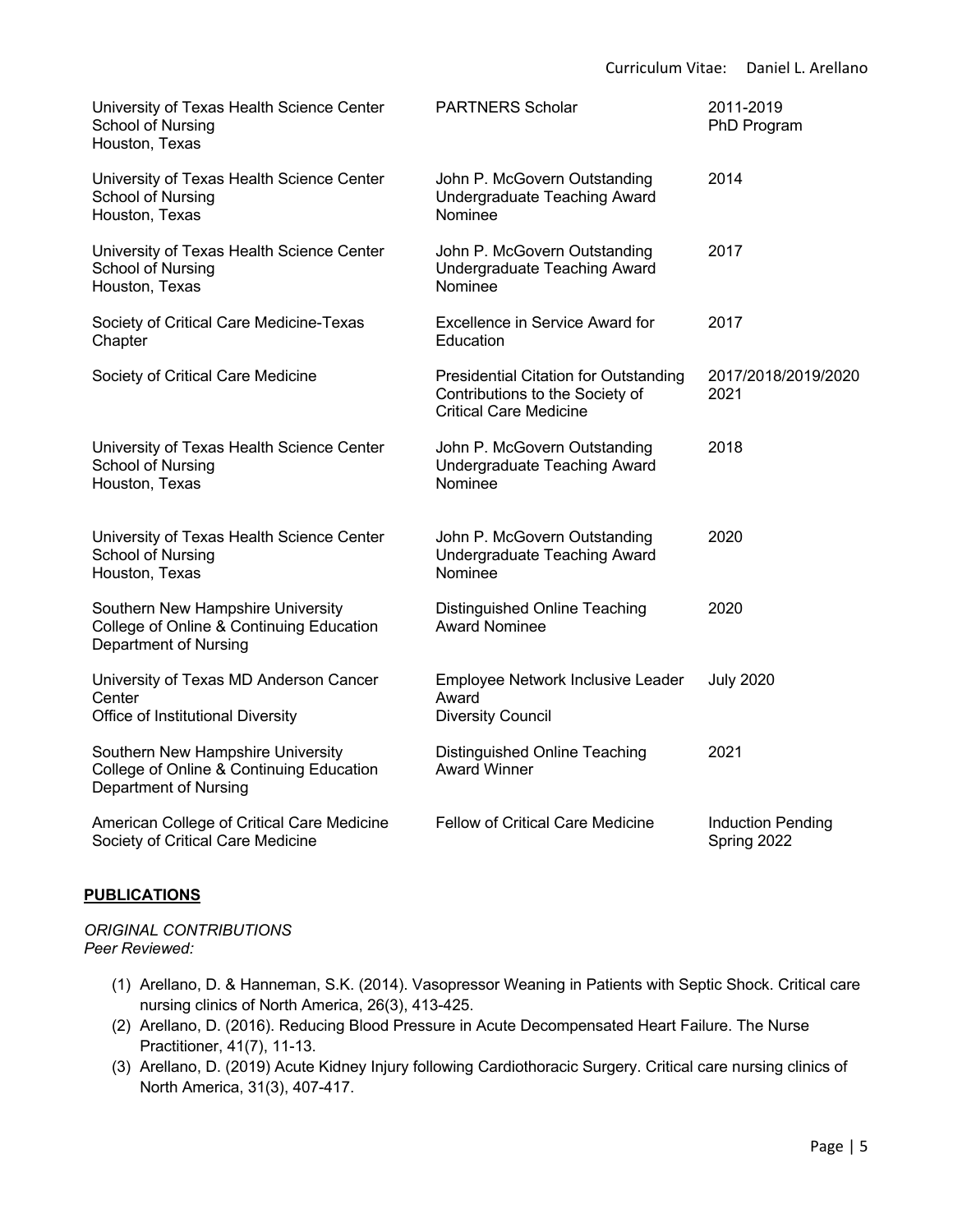| University of Texas Health Science Center<br>School of Nursing<br>Houston, Texas                              | <b>PARTNERS Scholar</b>                                                                                          | 2011-2019<br>PhD Program                |
|---------------------------------------------------------------------------------------------------------------|------------------------------------------------------------------------------------------------------------------|-----------------------------------------|
| University of Texas Health Science Center<br>School of Nursing<br>Houston, Texas                              | John P. McGovern Outstanding<br>Undergraduate Teaching Award<br>Nominee                                          | 2014                                    |
| University of Texas Health Science Center<br>School of Nursing<br>Houston, Texas                              | John P. McGovern Outstanding<br>Undergraduate Teaching Award<br>Nominee                                          | 2017                                    |
| Society of Critical Care Medicine-Texas<br>Chapter                                                            | <b>Excellence in Service Award for</b><br>Education                                                              | 2017                                    |
| Society of Critical Care Medicine                                                                             | <b>Presidential Citation for Outstanding</b><br>Contributions to the Society of<br><b>Critical Care Medicine</b> | 2017/2018/2019/2020<br>2021             |
| University of Texas Health Science Center<br>School of Nursing<br>Houston, Texas                              | John P. McGovern Outstanding<br>Undergraduate Teaching Award<br>Nominee                                          | 2018                                    |
| University of Texas Health Science Center<br>School of Nursing<br>Houston, Texas                              | John P. McGovern Outstanding<br>Undergraduate Teaching Award<br>Nominee                                          | 2020                                    |
| Southern New Hampshire University<br>College of Online & Continuing Education<br><b>Department of Nursing</b> | Distinguished Online Teaching<br><b>Award Nominee</b>                                                            | 2020                                    |
| University of Texas MD Anderson Cancer<br>Center<br>Office of Institutional Diversity                         | Employee Network Inclusive Leader<br>Award<br><b>Diversity Council</b>                                           | <b>July 2020</b>                        |
| Southern New Hampshire University<br>College of Online & Continuing Education<br>Department of Nursing        | Distinguished Online Teaching<br><b>Award Winner</b>                                                             | 2021                                    |
| American College of Critical Care Medicine<br>Society of Critical Care Medicine                               | <b>Fellow of Critical Care Medicine</b>                                                                          | <b>Induction Pending</b><br>Spring 2022 |

# **PUBLICATIONS**

*ORIGINAL CONTRIBUTIONS Peer Reviewed:*

- (1) Arellano, D. & Hanneman, S.K. (2014). Vasopressor Weaning in Patients with Septic Shock. Critical care nursing clinics of North America, 26(3), 413-425.
- (2) Arellano, D. (2016). Reducing Blood Pressure in Acute Decompensated Heart Failure. The Nurse Practitioner, 41(7), 11-13.
- (3) Arellano, D. (2019) Acute Kidney Injury following Cardiothoracic Surgery. Critical care nursing clinics of North America, 31(3), 407-417.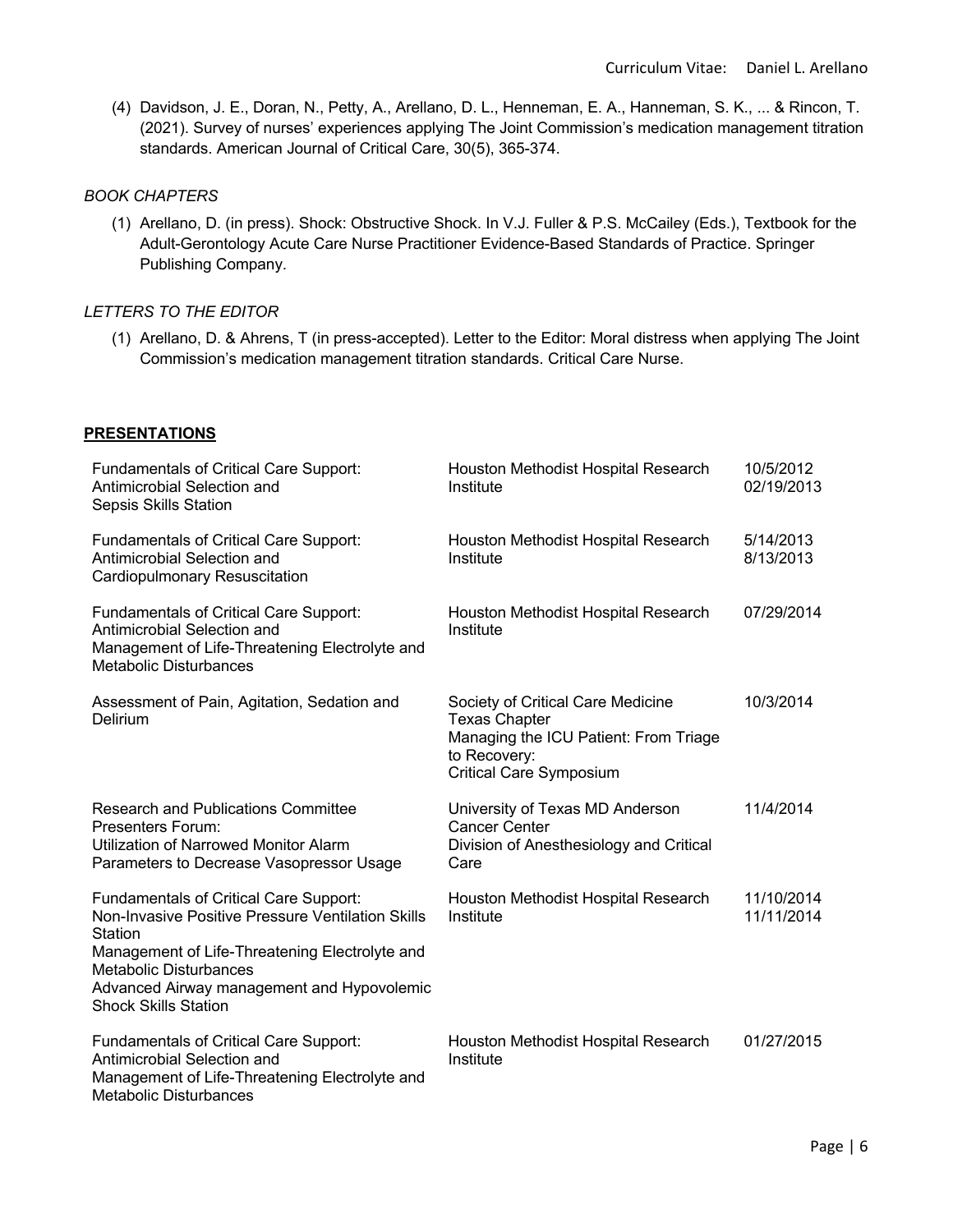(4) Davidson, J. E., Doran, N., Petty, A., Arellano, D. L., Henneman, E. A., Hanneman, S. K., ... & Rincon, T. (2021). Survey of nurses' experiences applying The Joint Commission's medication management titration standards. American Journal of Critical Care, 30(5), 365-374.

# *BOOK CHAPTERS*

(1) Arellano, D. (in press). Shock: Obstructive Shock. In V.J. Fuller & P.S. McCailey (Eds.), Textbook for the Adult-Gerontology Acute Care Nurse Practitioner Evidence-Based Standards of Practice. Springer Publishing Company.

# *LETTERS TO THE EDITOR*

(1) Arellano, D. & Ahrens, T (in press-accepted). Letter to the Editor: Moral distress when applying The Joint Commission's medication management titration standards. Critical Care Nurse.

# **PRESENTATIONS**

| <b>Fundamentals of Critical Care Support:</b><br>Antimicrobial Selection and<br>Sepsis Skills Station                                                                                                                                                                                | Houston Methodist Hospital Research<br>Institute                                                                                                     | 10/5/2012<br>02/19/2013  |
|--------------------------------------------------------------------------------------------------------------------------------------------------------------------------------------------------------------------------------------------------------------------------------------|------------------------------------------------------------------------------------------------------------------------------------------------------|--------------------------|
| <b>Fundamentals of Critical Care Support:</b><br>Antimicrobial Selection and<br>Cardiopulmonary Resuscitation                                                                                                                                                                        | Houston Methodist Hospital Research<br>Institute                                                                                                     | 5/14/2013<br>8/13/2013   |
| <b>Fundamentals of Critical Care Support:</b><br>Antimicrobial Selection and<br>Management of Life-Threatening Electrolyte and<br><b>Metabolic Disturbances</b>                                                                                                                      | Houston Methodist Hospital Research<br>Institute                                                                                                     | 07/29/2014               |
| Assessment of Pain, Agitation, Sedation and<br>Delirium                                                                                                                                                                                                                              | Society of Critical Care Medicine<br><b>Texas Chapter</b><br>Managing the ICU Patient: From Triage<br>to Recovery:<br><b>Critical Care Symposium</b> | 10/3/2014                |
| <b>Research and Publications Committee</b><br><b>Presenters Forum:</b><br>Utilization of Narrowed Monitor Alarm<br>Parameters to Decrease Vasopressor Usage                                                                                                                          | University of Texas MD Anderson<br><b>Cancer Center</b><br>Division of Anesthesiology and Critical<br>Care                                           | 11/4/2014                |
| <b>Fundamentals of Critical Care Support:</b><br>Non-Invasive Positive Pressure Ventilation Skills<br><b>Station</b><br>Management of Life-Threatening Electrolyte and<br><b>Metabolic Disturbances</b><br>Advanced Airway management and Hypovolemic<br><b>Shock Skills Station</b> | Houston Methodist Hospital Research<br>Institute                                                                                                     | 11/10/2014<br>11/11/2014 |
| <b>Fundamentals of Critical Care Support:</b><br>Antimicrobial Selection and<br>Management of Life-Threatening Electrolyte and<br>Metabolic Disturbances                                                                                                                             | Houston Methodist Hospital Research<br>Institute                                                                                                     | 01/27/2015               |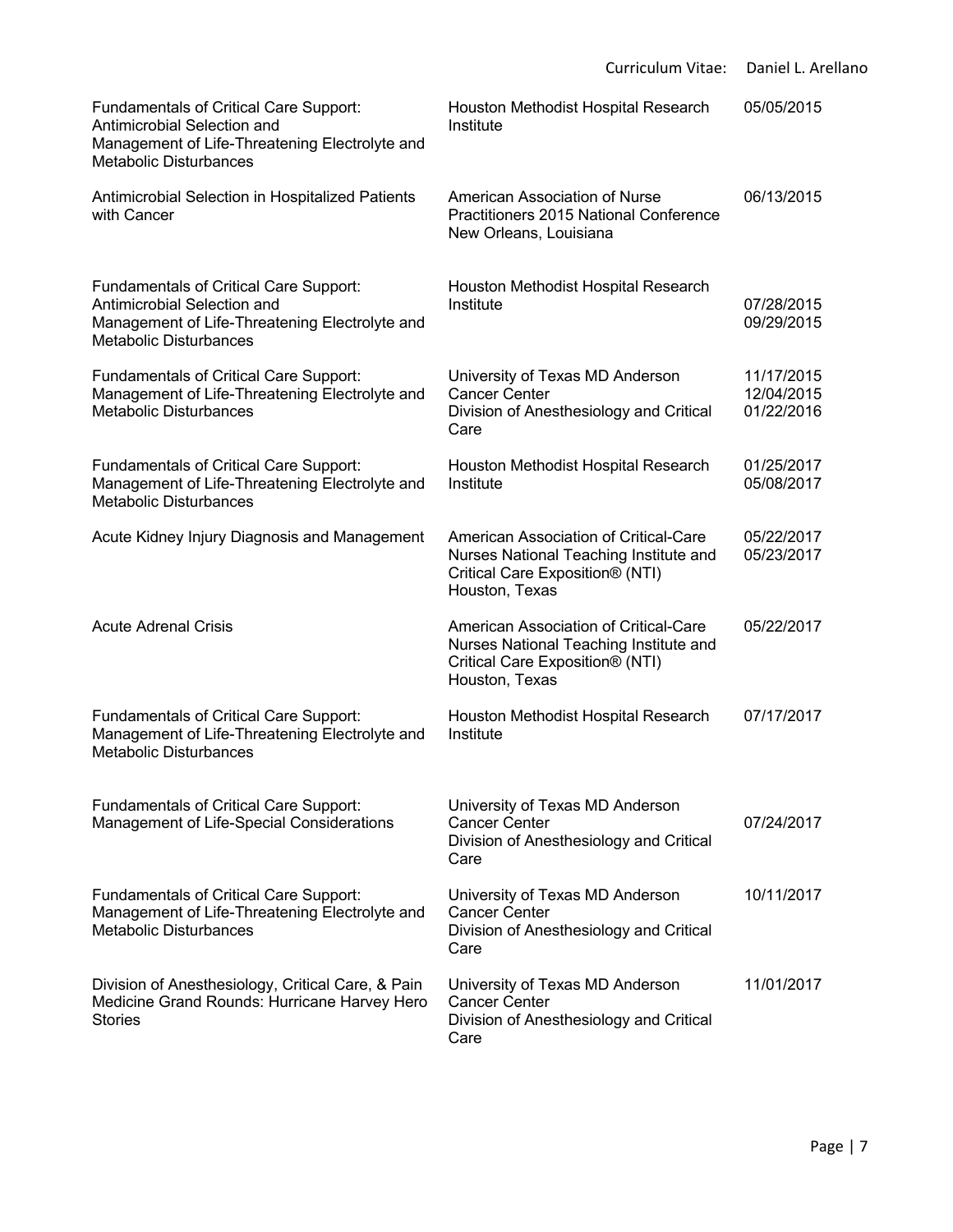|                                                                                                                                                                 | Curriculum Vitae:                                                                                                                    | Daniel L. Arellano                     |
|-----------------------------------------------------------------------------------------------------------------------------------------------------------------|--------------------------------------------------------------------------------------------------------------------------------------|----------------------------------------|
| <b>Fundamentals of Critical Care Support:</b><br>Antimicrobial Selection and<br>Management of Life-Threatening Electrolyte and<br><b>Metabolic Disturbances</b> | Houston Methodist Hospital Research<br>Institute                                                                                     | 05/05/2015                             |
| Antimicrobial Selection in Hospitalized Patients<br>with Cancer                                                                                                 | American Association of Nurse<br>Practitioners 2015 National Conference<br>New Orleans, Louisiana                                    | 06/13/2015                             |
| <b>Fundamentals of Critical Care Support:</b><br>Antimicrobial Selection and<br>Management of Life-Threatening Electrolyte and<br><b>Metabolic Disturbances</b> | Houston Methodist Hospital Research<br>Institute                                                                                     | 07/28/2015<br>09/29/2015               |
| <b>Fundamentals of Critical Care Support:</b><br>Management of Life-Threatening Electrolyte and<br><b>Metabolic Disturbances</b>                                | University of Texas MD Anderson<br><b>Cancer Center</b><br>Division of Anesthesiology and Critical<br>Care                           | 11/17/2015<br>12/04/2015<br>01/22/2016 |
| <b>Fundamentals of Critical Care Support:</b><br>Management of Life-Threatening Electrolyte and<br><b>Metabolic Disturbances</b>                                | Houston Methodist Hospital Research<br>Institute                                                                                     | 01/25/2017<br>05/08/2017               |
| Acute Kidney Injury Diagnosis and Management                                                                                                                    | American Association of Critical-Care<br>Nurses National Teaching Institute and<br>Critical Care Exposition® (NTI)<br>Houston, Texas | 05/22/2017<br>05/23/2017               |
| <b>Acute Adrenal Crisis</b>                                                                                                                                     | American Association of Critical-Care<br>Nurses National Teaching Institute and<br>Critical Care Exposition® (NTI)<br>Houston, Texas | 05/22/2017                             |
| <b>Fundamentals of Critical Care Support:</b><br>Management of Life-Threatening Electrolyte and<br><b>Metabolic Disturbances</b>                                | Houston Methodist Hospital Research<br>Institute                                                                                     | 07/17/2017                             |
| <b>Fundamentals of Critical Care Support:</b><br>Management of Life-Special Considerations                                                                      | University of Texas MD Anderson<br><b>Cancer Center</b><br>Division of Anesthesiology and Critical<br>Care                           | 07/24/2017                             |
| <b>Fundamentals of Critical Care Support:</b><br>Management of Life-Threatening Electrolyte and<br><b>Metabolic Disturbances</b>                                | University of Texas MD Anderson<br><b>Cancer Center</b><br>Division of Anesthesiology and Critical<br>Care                           | 10/11/2017                             |
| Division of Anesthesiology, Critical Care, & Pain<br>Medicine Grand Rounds: Hurricane Harvey Hero<br><b>Stories</b>                                             | University of Texas MD Anderson<br><b>Cancer Center</b><br>Division of Anesthesiology and Critical<br>Care                           | 11/01/2017                             |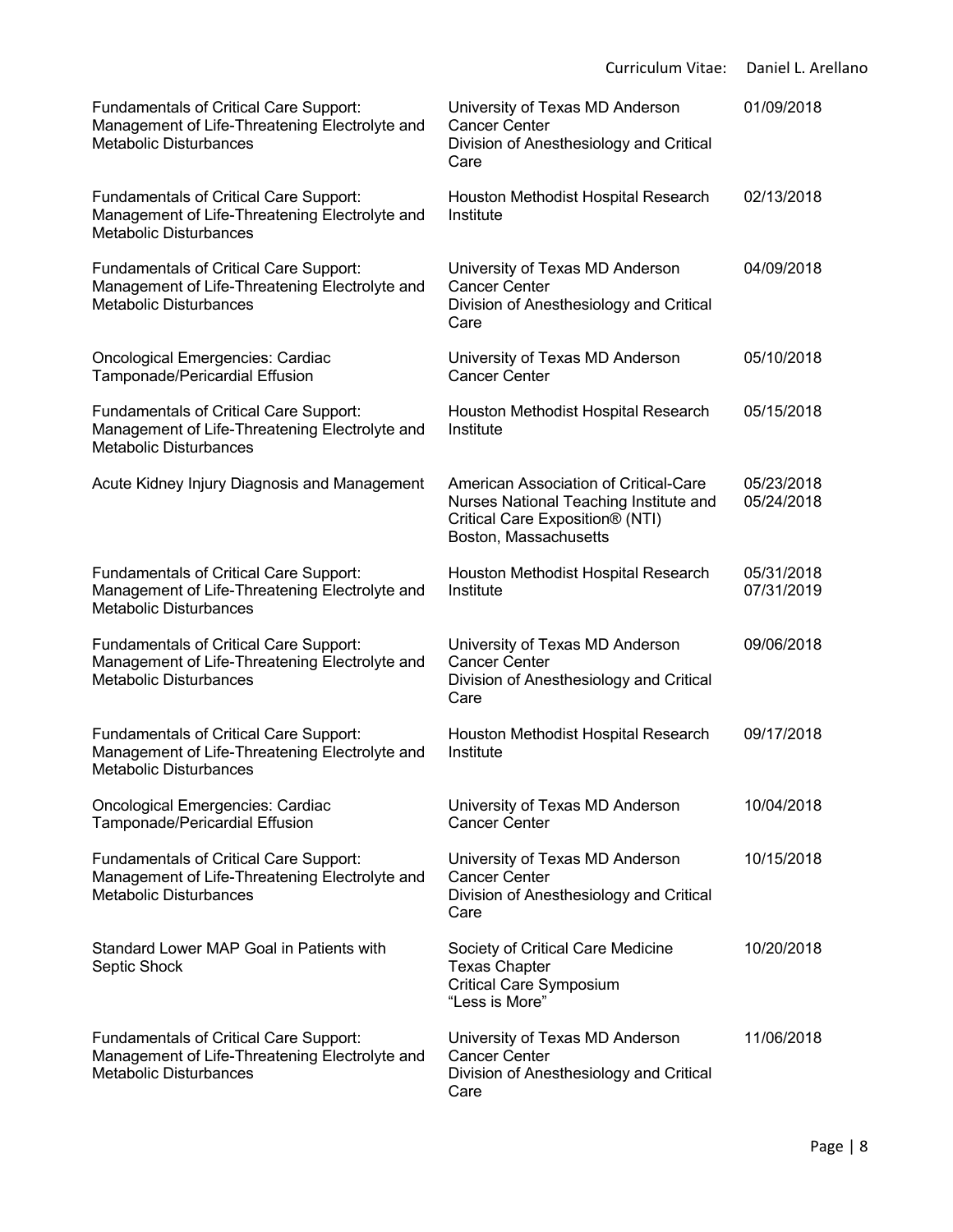|                                                                                                                                  | Curriculum Vitae:                                                                                                                           | Daniel L. Arellano       |
|----------------------------------------------------------------------------------------------------------------------------------|---------------------------------------------------------------------------------------------------------------------------------------------|--------------------------|
| Fundamentals of Critical Care Support:<br>Management of Life-Threatening Electrolyte and<br><b>Metabolic Disturbances</b>        | University of Texas MD Anderson<br><b>Cancer Center</b><br>Division of Anesthesiology and Critical<br>Care                                  | 01/09/2018               |
| <b>Fundamentals of Critical Care Support:</b><br>Management of Life-Threatening Electrolyte and<br><b>Metabolic Disturbances</b> | Houston Methodist Hospital Research<br>Institute                                                                                            | 02/13/2018               |
| <b>Fundamentals of Critical Care Support:</b><br>Management of Life-Threatening Electrolyte and<br><b>Metabolic Disturbances</b> | University of Texas MD Anderson<br><b>Cancer Center</b><br>Division of Anesthesiology and Critical<br>Care                                  | 04/09/2018               |
| <b>Oncological Emergencies: Cardiac</b><br>Tamponade/Pericardial Effusion                                                        | University of Texas MD Anderson<br><b>Cancer Center</b>                                                                                     | 05/10/2018               |
| <b>Fundamentals of Critical Care Support:</b><br>Management of Life-Threatening Electrolyte and<br><b>Metabolic Disturbances</b> | Houston Methodist Hospital Research<br>Institute                                                                                            | 05/15/2018               |
| Acute Kidney Injury Diagnosis and Management                                                                                     | American Association of Critical-Care<br>Nurses National Teaching Institute and<br>Critical Care Exposition® (NTI)<br>Boston, Massachusetts | 05/23/2018<br>05/24/2018 |
| <b>Fundamentals of Critical Care Support:</b><br>Management of Life-Threatening Electrolyte and<br><b>Metabolic Disturbances</b> | Houston Methodist Hospital Research<br>Institute                                                                                            | 05/31/2018<br>07/31/2019 |
| <b>Fundamentals of Critical Care Support:</b><br>Management of Life-Threatening Electrolyte and<br><b>Metabolic Disturbances</b> | University of Texas MD Anderson<br><b>Cancer Center</b><br>Division of Anesthesiology and Critical<br>Care                                  | 09/06/2018               |
| <b>Fundamentals of Critical Care Support:</b><br>Management of Life-Threatening Electrolyte and<br><b>Metabolic Disturbances</b> | Houston Methodist Hospital Research<br>Institute                                                                                            | 09/17/2018               |
| <b>Oncological Emergencies: Cardiac</b><br>Tamponade/Pericardial Effusion                                                        | University of Texas MD Anderson<br><b>Cancer Center</b>                                                                                     | 10/04/2018               |
| <b>Fundamentals of Critical Care Support:</b><br>Management of Life-Threatening Electrolyte and<br><b>Metabolic Disturbances</b> | University of Texas MD Anderson<br><b>Cancer Center</b><br>Division of Anesthesiology and Critical<br>Care                                  | 10/15/2018               |
| Standard Lower MAP Goal in Patients with<br>Septic Shock                                                                         | Society of Critical Care Medicine<br><b>Texas Chapter</b><br><b>Critical Care Symposium</b><br>"Less is More"                               | 10/20/2018               |
| <b>Fundamentals of Critical Care Support:</b><br>Management of Life-Threatening Electrolyte and<br><b>Metabolic Disturbances</b> | University of Texas MD Anderson<br><b>Cancer Center</b><br>Division of Anesthesiology and Critical<br>Care                                  | 11/06/2018               |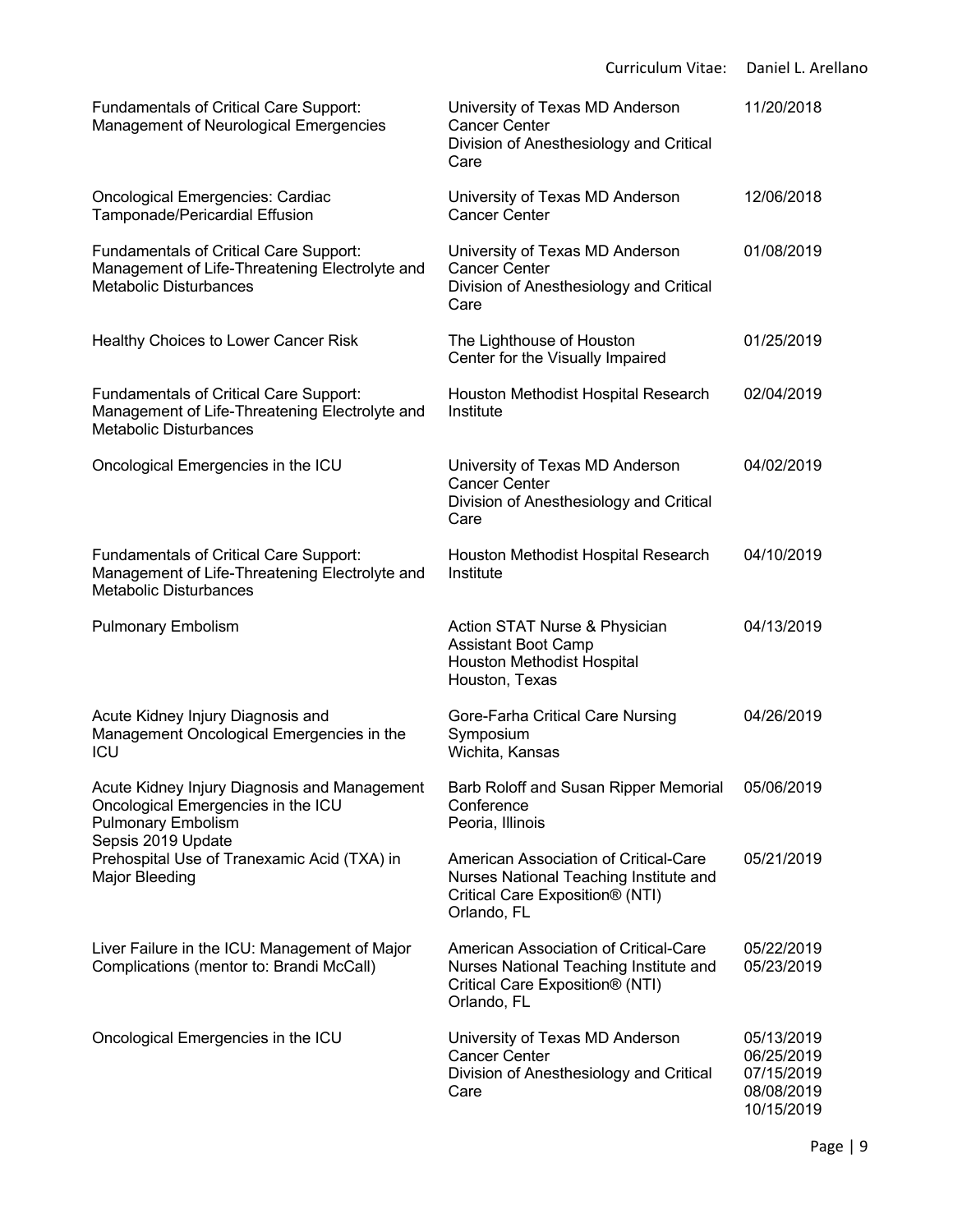| <b>Fundamentals of Critical Care Support:</b><br>Management of Neurological Emergencies                                          | University of Texas MD Anderson<br><b>Cancer Center</b><br>Division of Anesthesiology and Critical<br>Care                        | 11/20/2018                                                         |
|----------------------------------------------------------------------------------------------------------------------------------|-----------------------------------------------------------------------------------------------------------------------------------|--------------------------------------------------------------------|
| <b>Oncological Emergencies: Cardiac</b><br>Tamponade/Pericardial Effusion                                                        | University of Texas MD Anderson<br><b>Cancer Center</b>                                                                           | 12/06/2018                                                         |
| Fundamentals of Critical Care Support:<br>Management of Life-Threatening Electrolyte and<br><b>Metabolic Disturbances</b>        | University of Texas MD Anderson<br><b>Cancer Center</b><br>Division of Anesthesiology and Critical<br>Care                        | 01/08/2019                                                         |
| Healthy Choices to Lower Cancer Risk                                                                                             | The Lighthouse of Houston<br>Center for the Visually Impaired                                                                     | 01/25/2019                                                         |
| <b>Fundamentals of Critical Care Support:</b><br>Management of Life-Threatening Electrolyte and<br><b>Metabolic Disturbances</b> | Houston Methodist Hospital Research<br>Institute                                                                                  | 02/04/2019                                                         |
| Oncological Emergencies in the ICU                                                                                               | University of Texas MD Anderson<br><b>Cancer Center</b><br>Division of Anesthesiology and Critical<br>Care                        | 04/02/2019                                                         |
| Fundamentals of Critical Care Support:<br>Management of Life-Threatening Electrolyte and<br><b>Metabolic Disturbances</b>        | Houston Methodist Hospital Research<br>Institute                                                                                  | 04/10/2019                                                         |
| <b>Pulmonary Embolism</b>                                                                                                        | Action STAT Nurse & Physician<br><b>Assistant Boot Camp</b><br>Houston Methodist Hospital<br>Houston, Texas                       | 04/13/2019                                                         |
| Acute Kidney Injury Diagnosis and<br>Management Oncological Emergencies in the<br>ICU                                            | Gore-Farha Critical Care Nursing<br>Symposium<br>Wichita, Kansas                                                                  | 04/26/2019                                                         |
| Acute Kidney Injury Diagnosis and Management<br>Oncological Emergencies in the ICU<br><b>Pulmonary Embolism</b>                  | Barb Roloff and Susan Ripper Memorial<br>Conference<br>Peoria, Illinois                                                           | 05/06/2019                                                         |
| Sepsis 2019 Update<br>Prehospital Use of Tranexamic Acid (TXA) in<br>Major Bleeding                                              | American Association of Critical-Care<br>Nurses National Teaching Institute and<br>Critical Care Exposition® (NTI)<br>Orlando, FL | 05/21/2019                                                         |
| Liver Failure in the ICU: Management of Major<br>Complications (mentor to: Brandi McCall)                                        | American Association of Critical-Care<br>Nurses National Teaching Institute and<br>Critical Care Exposition® (NTI)<br>Orlando, FL | 05/22/2019<br>05/23/2019                                           |
| Oncological Emergencies in the ICU                                                                                               | University of Texas MD Anderson<br><b>Cancer Center</b><br>Division of Anesthesiology and Critical<br>Care                        | 05/13/2019<br>06/25/2019<br>07/15/2019<br>08/08/2019<br>10/15/2019 |

Curriculum Vitae: Daniel L. Arellano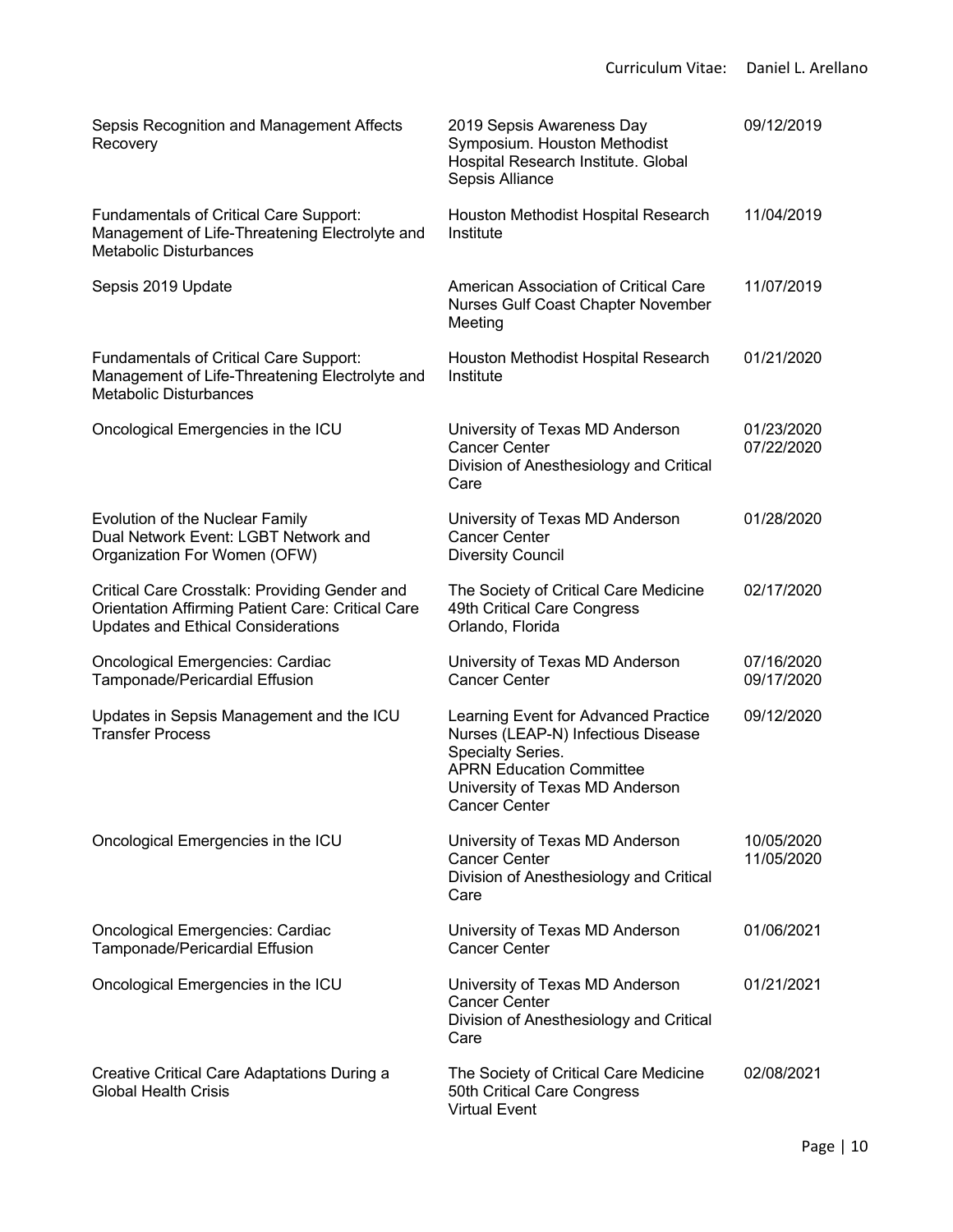| Sepsis Recognition and Management Affects<br>Recovery                                                                                                  | 2019 Sepsis Awareness Day<br>Symposium. Houston Methodist<br>Hospital Research Institute. Global<br>Sepsis Alliance                                                                           | 09/12/2019               |
|--------------------------------------------------------------------------------------------------------------------------------------------------------|-----------------------------------------------------------------------------------------------------------------------------------------------------------------------------------------------|--------------------------|
| <b>Fundamentals of Critical Care Support:</b><br>Management of Life-Threatening Electrolyte and<br><b>Metabolic Disturbances</b>                       | Houston Methodist Hospital Research<br>Institute                                                                                                                                              | 11/04/2019               |
| Sepsis 2019 Update                                                                                                                                     | American Association of Critical Care<br>Nurses Gulf Coast Chapter November<br>Meeting                                                                                                        | 11/07/2019               |
| <b>Fundamentals of Critical Care Support:</b><br>Management of Life-Threatening Electrolyte and<br><b>Metabolic Disturbances</b>                       | Houston Methodist Hospital Research<br>Institute                                                                                                                                              | 01/21/2020               |
| Oncological Emergencies in the ICU                                                                                                                     | University of Texas MD Anderson<br><b>Cancer Center</b><br>Division of Anesthesiology and Critical<br>Care                                                                                    | 01/23/2020<br>07/22/2020 |
| Evolution of the Nuclear Family<br>Dual Network Event: LGBT Network and<br>Organization For Women (OFW)                                                | University of Texas MD Anderson<br><b>Cancer Center</b><br><b>Diversity Council</b>                                                                                                           | 01/28/2020               |
| Critical Care Crosstalk: Providing Gender and<br><b>Orientation Affirming Patient Care: Critical Care</b><br><b>Updates and Ethical Considerations</b> | The Society of Critical Care Medicine<br>49th Critical Care Congress<br>Orlando, Florida                                                                                                      | 02/17/2020               |
| <b>Oncological Emergencies: Cardiac</b><br>Tamponade/Pericardial Effusion                                                                              | University of Texas MD Anderson<br><b>Cancer Center</b>                                                                                                                                       | 07/16/2020<br>09/17/2020 |
| Updates in Sepsis Management and the ICU<br><b>Transfer Process</b>                                                                                    | Learning Event for Advanced Practice<br>Nurses (LEAP-N) Infectious Disease<br>Specialty Series.<br><b>APRN Education Committee</b><br>University of Texas MD Anderson<br><b>Cancer Center</b> | 09/12/2020               |
| Oncological Emergencies in the ICU                                                                                                                     | University of Texas MD Anderson<br><b>Cancer Center</b><br>Division of Anesthesiology and Critical<br>Care                                                                                    | 10/05/2020<br>11/05/2020 |
| <b>Oncological Emergencies: Cardiac</b><br>Tamponade/Pericardial Effusion                                                                              | University of Texas MD Anderson<br><b>Cancer Center</b>                                                                                                                                       | 01/06/2021               |
| Oncological Emergencies in the ICU                                                                                                                     | University of Texas MD Anderson<br><b>Cancer Center</b><br>Division of Anesthesiology and Critical<br>Care                                                                                    | 01/21/2021               |
| Creative Critical Care Adaptations During a<br><b>Global Health Crisis</b>                                                                             | The Society of Critical Care Medicine<br>50th Critical Care Congress<br><b>Virtual Event</b>                                                                                                  | 02/08/2021               |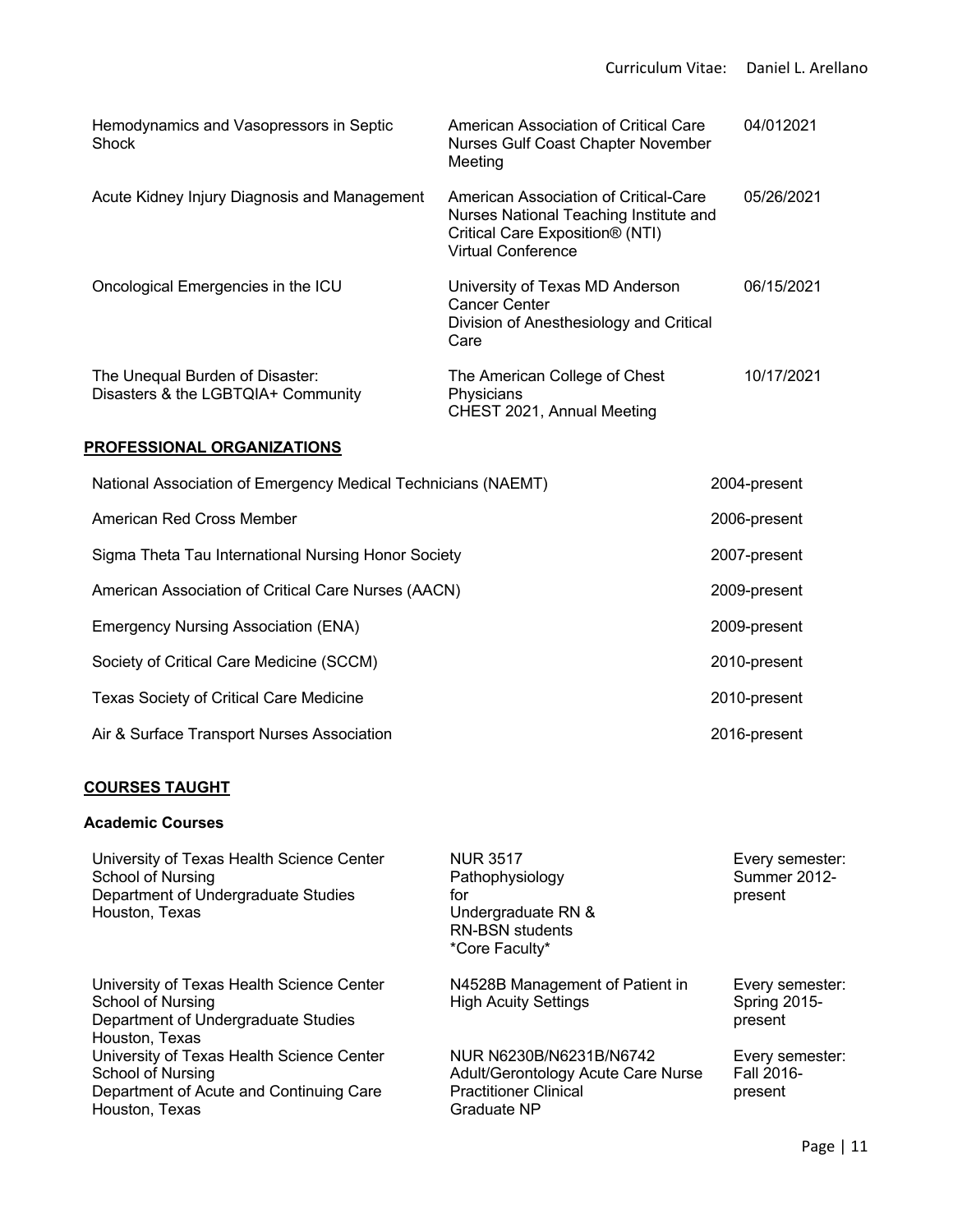| Hemodynamics and Vasopressors in Septic<br>Shock                      | American Association of Critical Care<br>Nurses Gulf Coast Chapter November<br>Meeting                                                               | 04/012021  |
|-----------------------------------------------------------------------|------------------------------------------------------------------------------------------------------------------------------------------------------|------------|
| Acute Kidney Injury Diagnosis and Management                          | American Association of Critical-Care<br>Nurses National Teaching Institute and<br>Critical Care Exposition <sup>®</sup> (NTI)<br>Virtual Conference | 05/26/2021 |
| Oncological Emergencies in the ICU                                    | University of Texas MD Anderson<br>Cancer Center<br>Division of Anesthesiology and Critical<br>Care                                                  | 06/15/2021 |
| The Unequal Burden of Disaster:<br>Disasters & the LGBTQIA+ Community | The American College of Chest<br>Physicians<br>CHEST 2021, Annual Meeting                                                                            | 10/17/2021 |

# **PROFESSIONAL ORGANIZATIONS**

| National Association of Emergency Medical Technicians (NAEMT) | 2004-present |
|---------------------------------------------------------------|--------------|
| American Red Cross Member                                     | 2006-present |
| Sigma Theta Tau International Nursing Honor Society           | 2007-present |
| American Association of Critical Care Nurses (AACN)           | 2009-present |
| <b>Emergency Nursing Association (ENA)</b>                    | 2009-present |
| Society of Critical Care Medicine (SCCM)                      | 2010-present |
| <b>Texas Society of Critical Care Medicine</b>                | 2010-present |
| Air & Surface Transport Nurses Association                    | 2016-present |

#### **COURSES TAUGHT**

# **Academic Courses**

| University of Texas Health Science Center<br>School of Nursing<br>Department of Undergraduate Studies<br>Houston, Texas     | <b>NUR 3517</b><br>Pathophysiology<br>for<br>Undergraduate RN &<br><b>RN-BSN</b> students<br>*Core Faculty*  | Every semester:<br><b>Summer 2012-</b><br>present |
|-----------------------------------------------------------------------------------------------------------------------------|--------------------------------------------------------------------------------------------------------------|---------------------------------------------------|
| University of Texas Health Science Center<br>School of Nursing<br>Department of Undergraduate Studies<br>Houston, Texas     | N4528B Management of Patient in<br><b>High Acuity Settings</b>                                               | Every semester:<br><b>Spring 2015-</b><br>present |
| University of Texas Health Science Center<br>School of Nursing<br>Department of Acute and Continuing Care<br>Houston, Texas | NUR N6230B/N6231B/N6742<br>Adult/Gerontology Acute Care Nurse<br><b>Practitioner Clinical</b><br>Graduate NP | Every semester:<br>Fall 2016-<br>present          |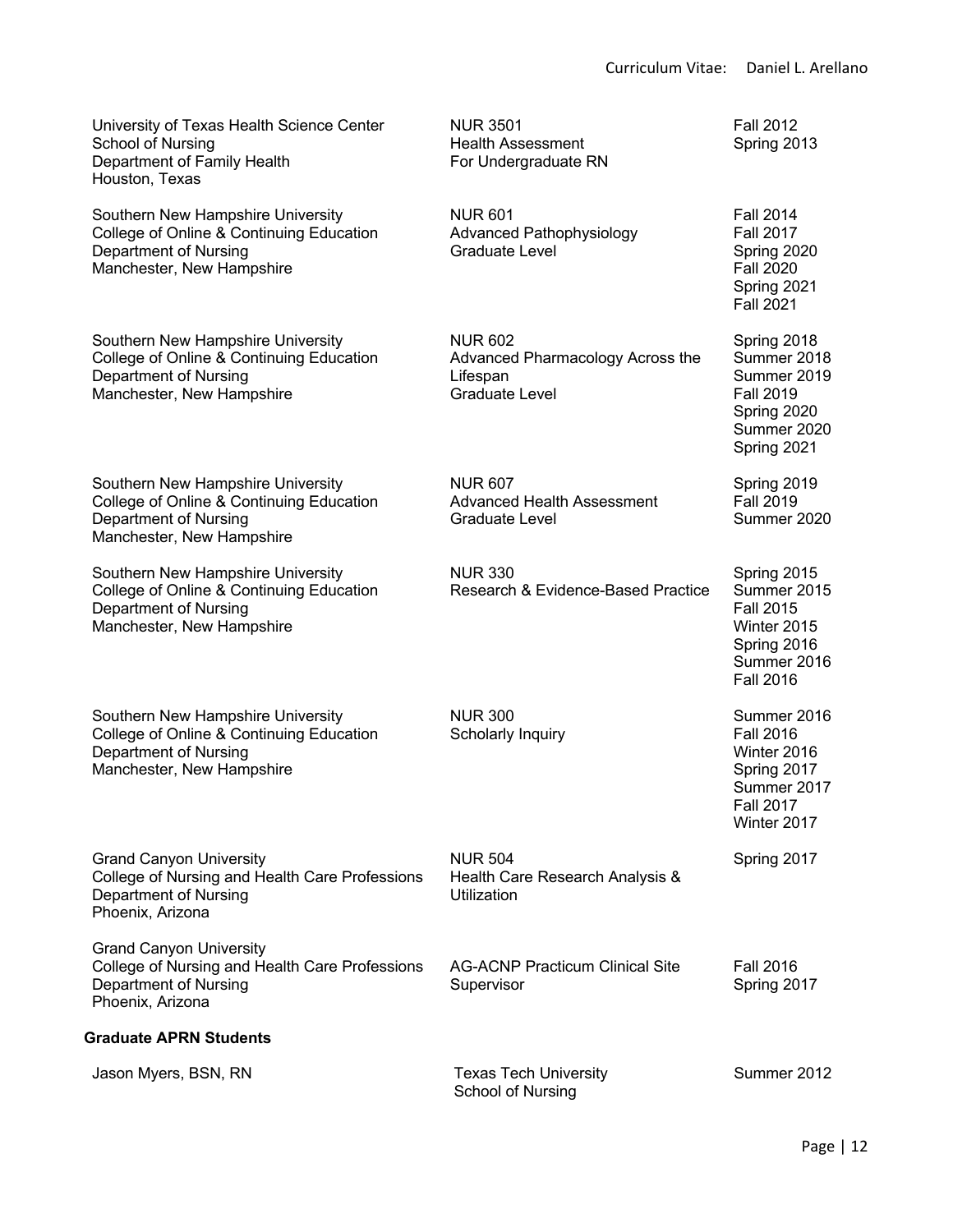Fall 2012 Spring 2013

Fall 2014 Fall 2017 Spring 2020 Fall 2020 Spring 2021 Fall 2021

Spring 2018 Summer 2018 Summer 2019 Fall 2019 Spring 2020 Summer 2020 Spring 2021

Spring 2019 Fall 2019 Summer 2020

Spring 2015 Summer 2015 Fall 2015 Winter 2015 Spring 2016 Summer 2016 Fall 2016

Summer 2016 Fall 2016 Winter 2016 Spring 2017 Summer 2017 Fall 2017 Winter 2017

University of Texas Health Science Center School of Nursing Department of Family Health Houston, Texas

Southern New Hampshire University College of Online & Continuing Education Department of Nursing Manchester, New Hampshire

Southern New Hampshire University College of Online & Continuing Education Department of Nursing Manchester, New Hampshire

Southern New Hampshire University College of Online & Continuing Education Department of Nursing Manchester, New Hampshire

Southern New Hampshire University College of Online & Continuing Education Department of Nursing Manchester, New Hampshire

Southern New Hampshire University College of Online & Continuing Education Department of Nursing Manchester, New Hampshire

Grand Canyon University College of Nursing and Health Care Professions Department of Nursing Phoenix, Arizona

Grand Canyon University College of Nursing and Health Care Professions Department of Nursing Phoenix, Arizona

#### **Graduate APRN Students**

| Jason Myers, BSN, RN | <b>Texas Tech University</b> | Summer 2012 |
|----------------------|------------------------------|-------------|
|                      | School of Nursing            |             |

NUR 3501 Health Assessment For Undergraduate RN

NUR 601 Advanced Pathophysiology Graduate Level

NUR 602 Advanced Pharmacology Across the Lifespan Graduate Level

NUR 607 Advanced Health Assessment Graduate Level

NUR 330 Research & Evidence-Based Practice

NUR 300 Scholarly Inquiry

NUR 504 Health Care Research Analysis & Utilization

AG-ACNP Practicum Clinical Site Supervisor

Fall 2016 Spring 2017

Spring 2017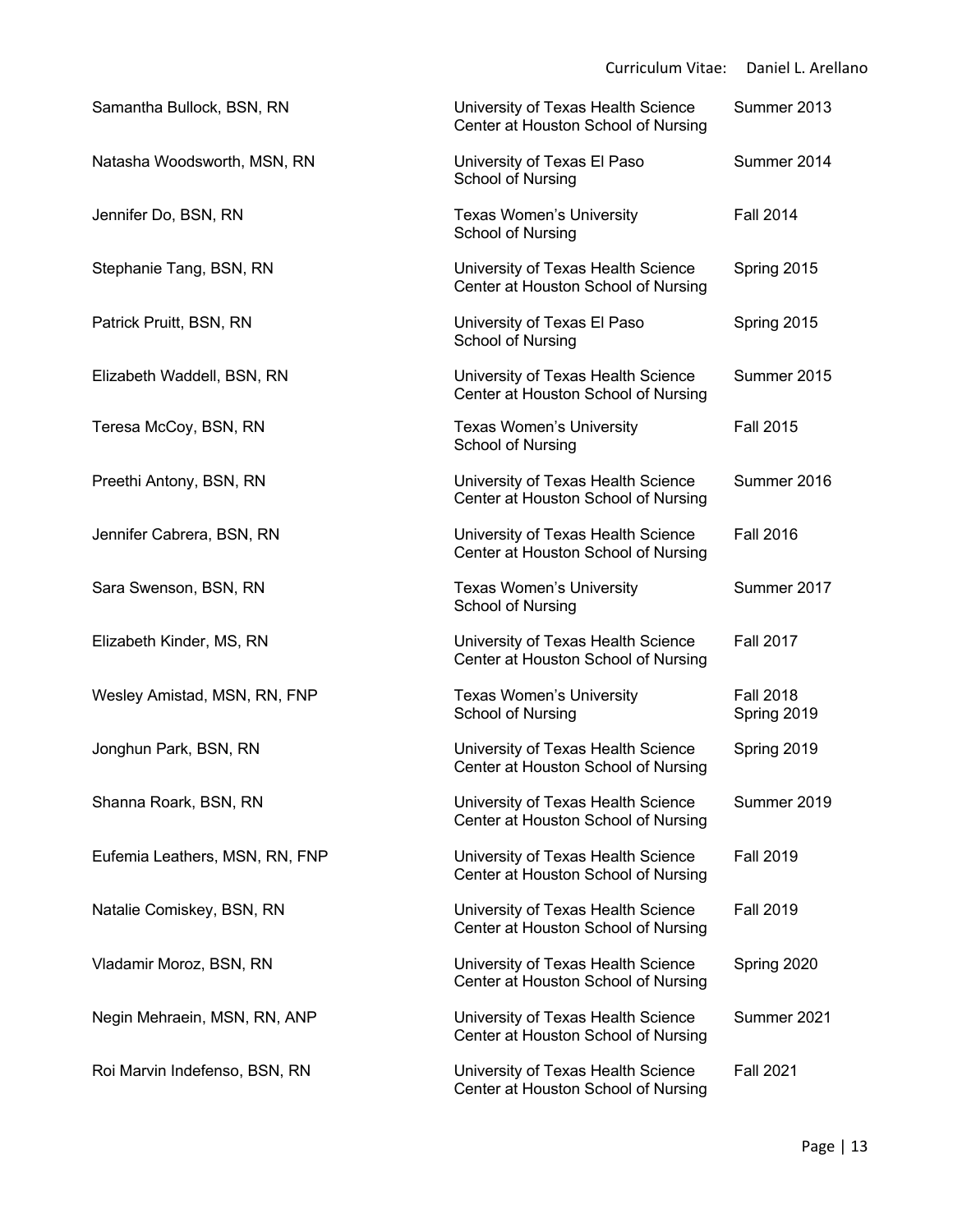|                                | <b>Curriculum Vitae:</b>                                                  | Daniel L. Arellano              |
|--------------------------------|---------------------------------------------------------------------------|---------------------------------|
| Samantha Bullock, BSN, RN      | University of Texas Health Science<br>Center at Houston School of Nursing | Summer 2013                     |
| Natasha Woodsworth, MSN, RN    | University of Texas El Paso<br>School of Nursing                          | Summer 2014                     |
| Jennifer Do, BSN, RN           | Texas Women's University<br>School of Nursing                             | <b>Fall 2014</b>                |
| Stephanie Tang, BSN, RN        | University of Texas Health Science<br>Center at Houston School of Nursing | Spring 2015                     |
| Patrick Pruitt, BSN, RN        | University of Texas El Paso<br>School of Nursing                          | Spring 2015                     |
| Elizabeth Waddell, BSN, RN     | University of Texas Health Science<br>Center at Houston School of Nursing | Summer 2015                     |
| Teresa McCoy, BSN, RN          | Texas Women's University<br>School of Nursing                             | <b>Fall 2015</b>                |
| Preethi Antony, BSN, RN        | University of Texas Health Science<br>Center at Houston School of Nursing | Summer 2016                     |
| Jennifer Cabrera, BSN, RN      | University of Texas Health Science<br>Center at Houston School of Nursing | <b>Fall 2016</b>                |
| Sara Swenson, BSN, RN          | <b>Texas Women's University</b><br>School of Nursing                      | Summer 2017                     |
| Elizabeth Kinder, MS, RN       | University of Texas Health Science<br>Center at Houston School of Nursing | <b>Fall 2017</b>                |
| Wesley Amistad, MSN, RN, FNP   | Texas Women's University<br>School of Nursing                             | <b>Fall 2018</b><br>Spring 2019 |
| Jonghun Park, BSN, RN          | University of Texas Health Science<br>Center at Houston School of Nursing | Spring 2019                     |
| Shanna Roark, BSN, RN          | University of Texas Health Science<br>Center at Houston School of Nursing | Summer 2019                     |
| Eufemia Leathers, MSN, RN, FNP | University of Texas Health Science<br>Center at Houston School of Nursing | <b>Fall 2019</b>                |
| Natalie Comiskey, BSN, RN      | University of Texas Health Science<br>Center at Houston School of Nursing | <b>Fall 2019</b>                |
| Vladamir Moroz, BSN, RN        | University of Texas Health Science<br>Center at Houston School of Nursing | Spring 2020                     |
| Negin Mehraein, MSN, RN, ANP   | University of Texas Health Science<br>Center at Houston School of Nursing | Summer 2021                     |
| Roi Marvin Indefenso, BSN, RN  | University of Texas Health Science<br>Center at Houston School of Nursing | <b>Fall 2021</b>                |